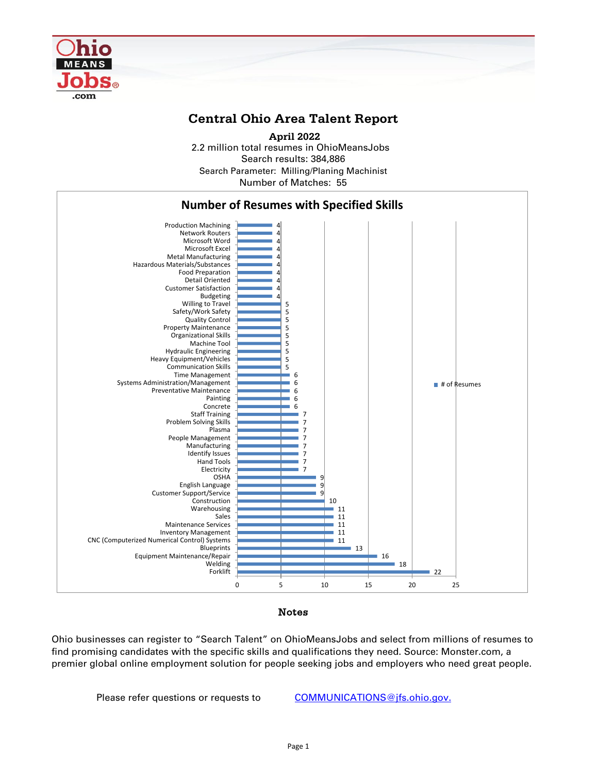

## **Central Ohio Area Talent Report**

2.2 million total resumes in OhioMeansJobs Search results: 384,886 Number of Matches: 55  **April 2022** Search Parameter: Milling/Planing Machinist



## Notes

Ohio businesses can register to "Search Talent" on OhioMeansJobs and select from millions of resumes to find promising candidates with the specific skills and qualifications they need. Source: Monster.com, a premier global online employment solution for people seeking jobs and employers who need great people.

Please refer questions or requests to [COMMUNICATIONS@jfs.ohio.gov.](mailto:COMMUNICATIONS@jfs.ohio.gov.)